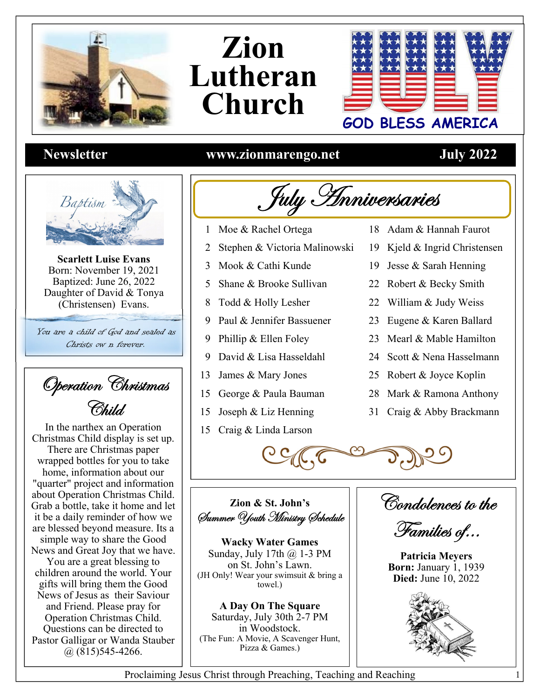

## Zion Lutheran **Church**



## **Newsletter**



**Scarlett Luise Evans** Born: November 19, 2021 Baptized: June 26, 2022 Daughter of David & Tonya (Christensen) Evans.

You are a child of God and sealed as Christs ow *n* forever.

Operation Christmas Child.

In the narthex an Operation Christmas Child display is set up. There are Christmas paper wrapped bottles for you to take home, information about our "quarter" project and information about Operation Christmas Child. Grab a bottle, take it home and let it be a daily reminder of how we are blessed beyond measure. Its a simple way to share the Good News and Great Joy that we have.

You are a great blessing to children around the world. Your gifts will bring them the Good News of Jesus as their Saviour and Friend. Please pray for Operation Christmas Child. Questions can be directed to Pastor Galligar or Wanda Stauber  $(a)$  (815) 545-4266.

## www.zionmarengo.net

## **July 2022**



- 1 Moe & Rachel Ortega
- Stephen & Victoria Malinowski  $\overline{2}$
- 3 Mook & Cathi Kunde
- 5 Shane & Brooke Sullivan
- 8 Todd & Holly Lesher
- 9 Paul & Jennifer Bassuener
- 9 Phillip & Ellen Foley
- David & Lisa Hasseldahl 9
- 13 James & Mary Jones
- 15 George & Paula Bauman
- 15 Joseph & Liz Henning
- 15 Craig & Linda Larson
- 18 Adam & Hannah Faurot
- 19 Kjeld & Ingrid Christensen
- 19 Jesse & Sarah Henning
- 22 Robert & Becky Smith
- 22 William & Judy Weiss
- 23 Eugene & Karen Ballard
- 23 Mearl & Mable Hamilton
- 24 Scott & Nena Hasselmann
- 25 Robert & Joyce Koplin
- 28 Mark & Ramona Anthony
- 31 Craig & Abby Brackmann

Zion & St. John's Summer Youth Ministry Schedule

**Wacky Water Games** Sunday, July 17th @ 1-3 PM on St. John's Lawn. (JH Only! Wear your swimsuit & bring a towel.)

A Day On The Square Saturday, July 30th 2-7 PM in Woodstock. (The Fun: A Movie, A Scavenger Hunt, Pizza & Games.)

Condolences to the

Families of...

**Patricia Meyers Born: January 1, 1939 Died:** June 10, 2022



1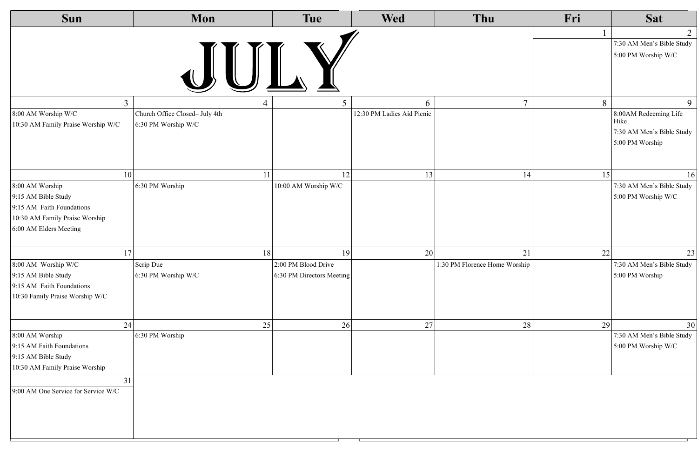| Sun                                 | Mon                            |    | <b>Tue</b>                | <b>Wed</b>                 | Thu                           | Fri | <b>Sat</b>                        |
|-------------------------------------|--------------------------------|----|---------------------------|----------------------------|-------------------------------|-----|-----------------------------------|
|                                     |                                |    |                           |                            |                               |     | $\overline{2}$                    |
|                                     |                                |    |                           |                            |                               |     | 7:30 AM Men's Bible Study         |
|                                     |                                |    |                           |                            |                               |     | 5:00 PM Worship W/C               |
| $\overline{3}$                      |                                |    | 5                         | $\Omega$                   | $\tau$                        | 8   | 9                                 |
| 8:00 AM Worship W/C                 | Church Office Closed- July 4th |    |                           | 12:30 PM Ladies Aid Picnic |                               |     | 8:00AM Redeeming Life             |
| 10:30 AM Family Praise Worship W/C  | 6:30 PM Worship W/C            |    |                           |                            |                               |     | Hike<br>7:30 AM Men's Bible Study |
|                                     |                                |    |                           |                            |                               |     | 5:00 PM Worship                   |
|                                     |                                |    |                           |                            |                               |     |                                   |
| <b>10</b>                           |                                | 11 | 12                        | 13                         | 14                            | 15  | 16                                |
| 8:00 AM Worship                     | 6:30 PM Worship                |    | 10:00 AM Worship W/C      |                            |                               |     | 7:30 AM Men's Bible Study         |
| 9:15 AM Bible Study                 |                                |    |                           |                            |                               |     | 5:00 PM Worship W/C               |
| 9:15 AM Faith Foundations           |                                |    |                           |                            |                               |     |                                   |
| 10:30 AM Family Praise Worship      |                                |    |                           |                            |                               |     |                                   |
| 6:00 AM Elders Meeting              |                                |    |                           |                            |                               |     |                                   |
| 17                                  |                                | 18 | 19                        | 20                         | 21                            | 22  | 23                                |
| 8:00 AM Worship W/C                 | Scrip Due                      |    | 2:00 PM Blood Drive       |                            | 1:30 PM Florence Home Worship |     | 7:30 AM Men's Bible Study         |
| 9:15 AM Bible Study                 | 6:30 PM Worship W/C            |    | 6:30 PM Directors Meeting |                            |                               |     | 5:00 PM Worship                   |
| 9:15 AM Faith Foundations           |                                |    |                           |                            |                               |     |                                   |
| 10:30 Family Praise Worship W/C     |                                |    |                           |                            |                               |     |                                   |
|                                     |                                |    |                           |                            |                               |     |                                   |
| 24                                  |                                | 25 | 26                        | 27                         | 28                            | 29  | 30                                |
| 8:00 AM Worship                     | 6:30 PM Worship                |    |                           |                            |                               |     | 7:30 AM Men's Bible Study         |
| 9:15 AM Faith Foundations           |                                |    |                           |                            |                               |     | 5:00 PM Worship W/C               |
| 9:15 AM Bible Study                 |                                |    |                           |                            |                               |     |                                   |
| 10:30 AM Family Praise Worship      |                                |    |                           |                            |                               |     |                                   |
| 31                                  |                                |    |                           |                            |                               |     |                                   |
| 9:00 AM One Service for Service W/C |                                |    |                           |                            |                               |     |                                   |
|                                     |                                |    |                           |                            |                               |     |                                   |
|                                     |                                |    |                           |                            |                               |     |                                   |
|                                     |                                |    |                           |                            |                               |     |                                   |
|                                     |                                |    |                           |                            |                               |     |                                   |